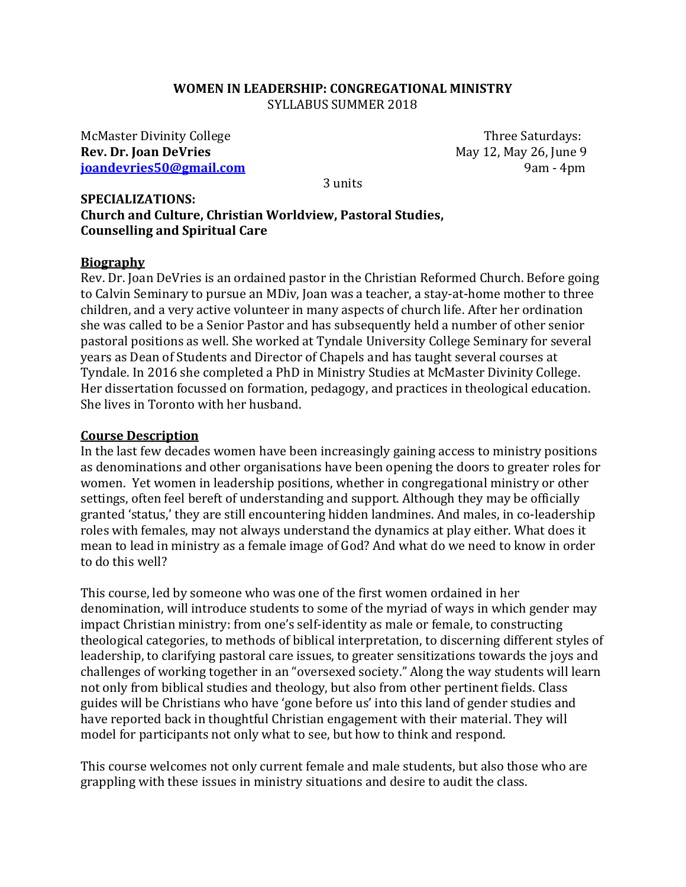#### **WOMEN IN LEADERSHIP: CONGREGATIONAL MINISTRY** SYLLABUS SUMMER 2018

McMaster Divinity College Three Saturdays: **Rev. Dr. Joan DeVries May 12, May 26, June 9 [joandevries50@gmail.com](mailto:joandevries50@gmail.com)** 9am - 4pm

3 units

#### **SPECIALIZATIONS: Church and Culture, Christian Worldview, Pastoral Studies, Counselling and Spiritual Care**

#### **Biography**

Rev. Dr. Joan DeVries is an ordained pastor in the Christian Reformed Church. Before going to Calvin Seminary to pursue an MDiv, Joan was a teacher, a stay-at-home mother to three children, and a very active volunteer in many aspects of church life. After her ordination she was called to be a Senior Pastor and has subsequently held a number of other senior pastoral positions as well. She worked at Tyndale University College Seminary for several years as Dean of Students and Director of Chapels and has taught several courses at Tyndale. In 2016 she completed a PhD in Ministry Studies at McMaster Divinity College. Her dissertation focussed on formation, pedagogy, and practices in theological education. She lives in Toronto with her husband.

#### **Course Description**

In the last few decades women have been increasingly gaining access to ministry positions as denominations and other organisations have been opening the doors to greater roles for women. Yet women in leadership positions, whether in congregational ministry or other settings, often feel bereft of understanding and support. Although they may be officially granted 'status,' they are still encountering hidden landmines. And males, in co-leadership roles with females, may not always understand the dynamics at play either. What does it mean to lead in ministry as a female image of God? And what do we need to know in order to do this well?

This course, led by someone who was one of the first women ordained in her denomination, will introduce students to some of the myriad of ways in which gender may impact Christian ministry: from one's self-identity as male or female, to constructing theological categories, to methods of biblical interpretation, to discerning different styles of leadership, to clarifying pastoral care issues, to greater sensitizations towards the joys and challenges of working together in an "oversexed society." Along the way students will learn not only from biblical studies and theology, but also from other pertinent fields. Class guides will be Christians who have 'gone before us' into this land of gender studies and have reported back in thoughtful Christian engagement with their material. They will model for participants not only what to see, but how to think and respond.

This course welcomes not only current female and male students, but also those who are grappling with these issues in ministry situations and desire to audit the class.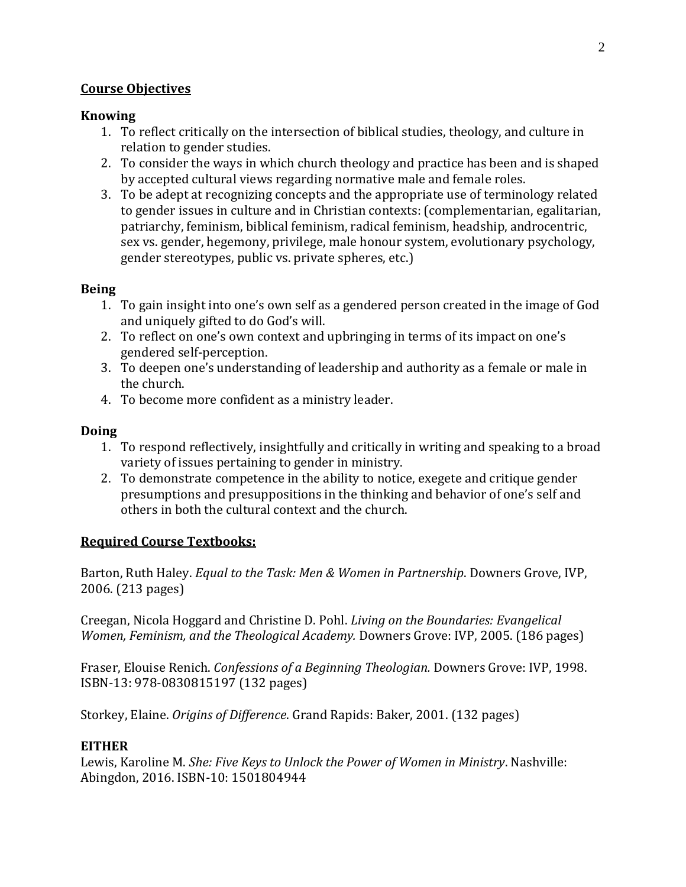## **Course Objectives**

### **Knowing**

- 1. To reflect critically on the intersection of biblical studies, theology, and culture in relation to gender studies.
- 2. To consider the ways in which church theology and practice has been and is shaped by accepted cultural views regarding normative male and female roles.
- 3. To be adept at recognizing concepts and the appropriate use of terminology related to gender issues in culture and in Christian contexts: (complementarian, egalitarian, patriarchy, feminism, biblical feminism, radical feminism, headship, androcentric, sex vs. gender, hegemony, privilege, male honour system, evolutionary psychology, gender stereotypes, public vs. private spheres, etc.)

## **Being**

- 1. To gain insight into one's own self as a gendered person created in the image of God and uniquely gifted to do God's will.
- 2. To reflect on one's own context and upbringing in terms of its impact on one's gendered self-perception.
- 3. To deepen one's understanding of leadership and authority as a female or male in the church.
- 4. To become more confident as a ministry leader.

## **Doing**

- 1. To respond reflectively, insightfully and critically in writing and speaking to a broad variety of issues pertaining to gender in ministry.
- 2. To demonstrate competence in the ability to notice, exegete and critique gender presumptions and presuppositions in the thinking and behavior of one's self and others in both the cultural context and the church.

## **Required Course Textbooks:**

Barton, Ruth Haley. *Equal to the Task: Men & Women in Partnership*. Downers Grove, IVP, 2006. (213 pages)

Creegan, Nicola Hoggard and Christine D. Pohl. *Living on the Boundaries: Evangelical Women, Feminism, and the Theological Academy.* Downers Grove: IVP, 2005. (186 pages)

Fraser, Elouise Renich. *Confessions of a Beginning Theologian.* Downers Grove: IVP, 1998. ISBN-13: 978-0830815197 (132 pages)

Storkey, Elaine. *Origins of Difference*. Grand Rapids: Baker, 2001. (132 pages)

## **EITHER**

Lewis, Karoline M. *She: Five Keys to Unlock the Power of Women in Ministry*. Nashville: Abingdon, 2016. ISBN-10: 1501804944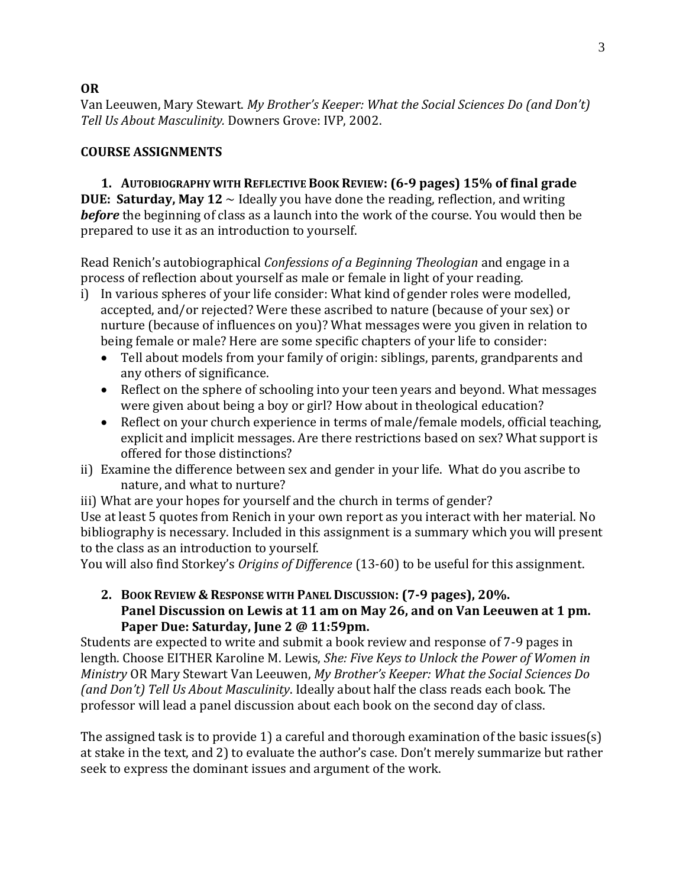Van Leeuwen, Mary Stewart. *My Brother's Keeper: What the Social Sciences Do (and Don't) Tell Us About Masculinity.* Downers Grove: IVP, 2002.

## **COURSE ASSIGNMENTS**

**1. AUTOBIOGRAPHY WITH REFLECTIVE BOOK REVIEW: (6-9 pages) 15% of final grade DUE: Saturday, May 12** ~ Ideally you have done the reading, reflection, and writing *before* the beginning of class as a launch into the work of the course. You would then be prepared to use it as an introduction to yourself.

Read Renich's autobiographical *Confessions of a Beginning Theologian* and engage in a process of reflection about yourself as male or female in light of your reading.

- i) In various spheres of your life consider: What kind of gender roles were modelled, accepted, and/or rejected? Were these ascribed to nature (because of your sex) or nurture (because of influences on you)? What messages were you given in relation to being female or male? Here are some specific chapters of your life to consider:
	- Tell about models from your family of origin: siblings, parents, grandparents and any others of significance.
	- Reflect on the sphere of schooling into your teen years and beyond. What messages were given about being a boy or girl? How about in theological education?
	- Reflect on your church experience in terms of male/female models, official teaching, explicit and implicit messages. Are there restrictions based on sex? What support is offered for those distinctions?
- ii) Examine the difference between sex and gender in your life. What do you ascribe to nature, and what to nurture?

iii) What are your hopes for yourself and the church in terms of gender? Use at least 5 quotes from Renich in your own report as you interact with her material. No bibliography is necessary. Included in this assignment is a summary which you will present to the class as an introduction to yourself.

You will also find Storkey's *Origins of Difference* (13-60) to be useful for this assignment.

**2. BOOK REVIEW & RESPONSE WITH PANEL DISCUSSION: (7-9 pages), 20%. Panel Discussion on Lewis at 11 am on May 26, and on Van Leeuwen at 1 pm. Paper Due: Saturday, June 2 @ 11:59pm.**

Students are expected to write and submit a book review and response of 7-9 pages in length. Choose EITHER Karoline M. Lewis, *She: Five Keys to Unlock the Power of Women in Ministry* OR Mary Stewart Van Leeuwen, *My Brother's Keeper: What the Social Sciences Do (and Don't) Tell Us About Masculinity*. Ideally about half the class reads each book. The professor will lead a panel discussion about each book on the second day of class.

The assigned task is to provide 1) a careful and thorough examination of the basic issues(s) at stake in the text, and 2) to evaluate the author's case. Don't merely summarize but rather seek to express the dominant issues and argument of the work.

3

# **OR**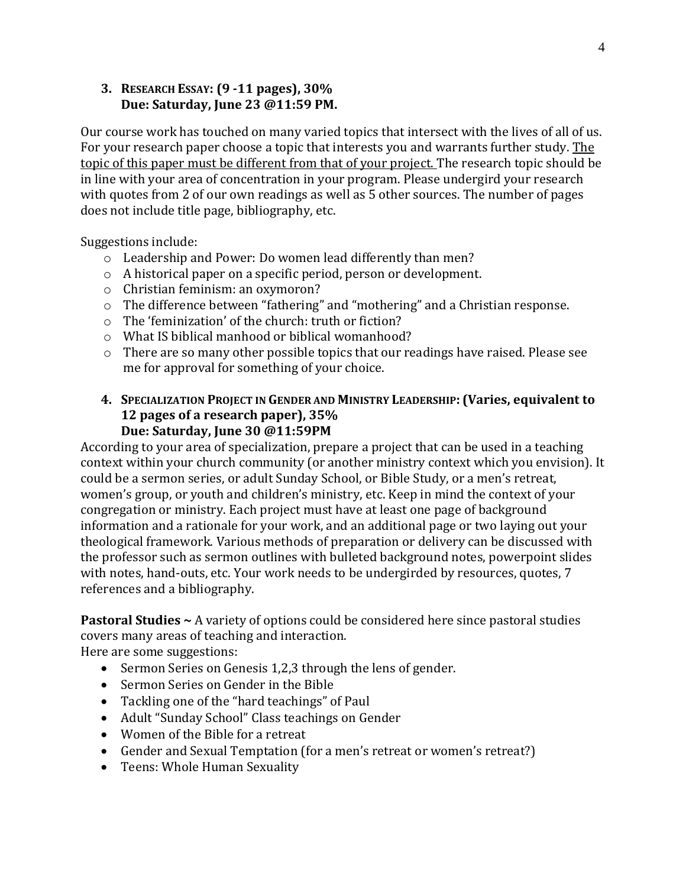## **3. RESEARCH ESSAY: (9 -11 pages), 30% Due: Saturday, June 23 @11:59 PM.**

Our course work has touched on many varied topics that intersect with the lives of all of us. For your research paper choose a topic that interests you and warrants further study. The topic of this paper must be different from that of your project. The research topic should be in line with your area of concentration in your program. Please undergird your research with quotes from 2 of our own readings as well as 5 other sources. The number of pages does not include title page, bibliography, etc.

Suggestions include:

- o Leadership and Power: Do women lead differently than men?
- o A historical paper on a specific period, person or development.
- o Christian feminism: an oxymoron?
- o The difference between "fathering" and "mothering" and a Christian response.
- o The 'feminization' of the church: truth or fiction?
- o What IS biblical manhood or biblical womanhood?
- o There are so many other possible topics that our readings have raised. Please see me for approval for something of your choice.

#### **4. SPECIALIZATION PROJECT IN GENDER AND MINISTRY LEADERSHIP: (Varies, equivalent to 12 pages of a research paper), 35% Due: Saturday, June 30 @11:59PM**

According to your area of specialization, prepare a project that can be used in a teaching context within your church community (or another ministry context which you envision). It could be a sermon series, or adult Sunday School, or Bible Study, or a men's retreat, women's group, or youth and children's ministry, etc. Keep in mind the context of your congregation or ministry. Each project must have at least one page of background information and a rationale for your work, and an additional page or two laying out your theological framework. Various methods of preparation or delivery can be discussed with the professor such as sermon outlines with bulleted background notes, powerpoint slides with notes, hand-outs, etc. Your work needs to be undergirded by resources, quotes, 7 references and a bibliography.

**Pastoral Studies ~** A variety of options could be considered here since pastoral studies covers many areas of teaching and interaction.

Here are some suggestions:

- Sermon Series on Genesis 1,2,3 through the lens of gender.
- Sermon Series on Gender in the Bible
- Tackling one of the "hard teachings" of Paul
- Adult "Sunday School" Class teachings on Gender
- Women of the Bible for a retreat
- Gender and Sexual Temptation (for a men's retreat or women's retreat?)
- Teens: Whole Human Sexuality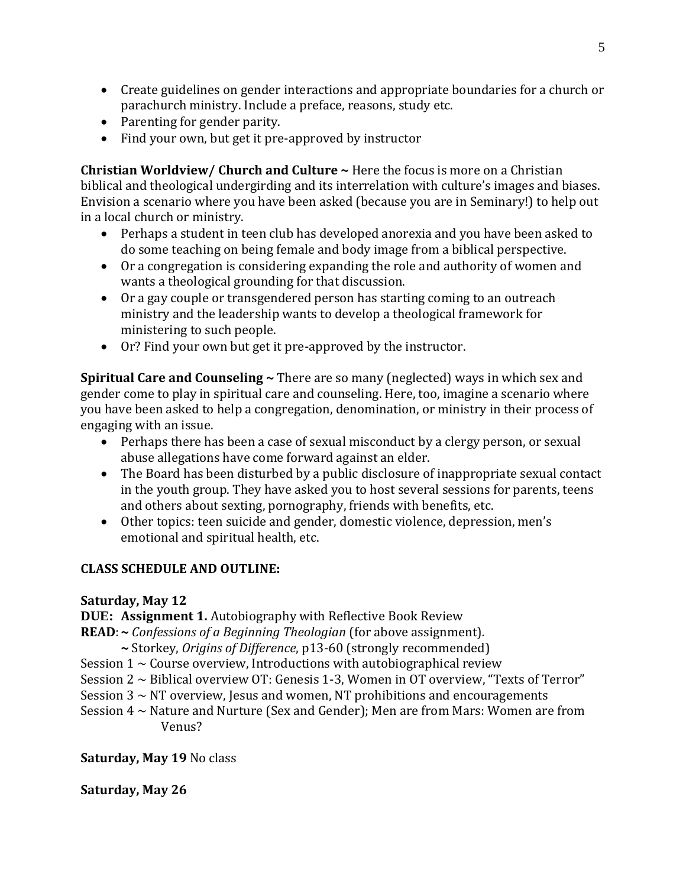- Create guidelines on gender interactions and appropriate boundaries for a church or parachurch ministry. Include a preface, reasons, study etc.
- Parenting for gender parity.
- Find your own, but get it pre-approved by instructor

**Christian Worldview/ Church and Culture ~** Here the focus is more on a Christian biblical and theological undergirding and its interrelation with culture's images and biases. Envision a scenario where you have been asked (because you are in Seminary!) to help out in a local church or ministry.

- Perhaps a student in teen club has developed anorexia and you have been asked to do some teaching on being female and body image from a biblical perspective.
- Or a congregation is considering expanding the role and authority of women and wants a theological grounding for that discussion.
- Or a gay couple or transgendered person has starting coming to an outreach ministry and the leadership wants to develop a theological framework for ministering to such people.
- Or? Find your own but get it pre-approved by the instructor.

**Spiritual Care and Counseling ~** There are so many (neglected) ways in which sex and gender come to play in spiritual care and counseling. Here, too, imagine a scenario where you have been asked to help a congregation, denomination, or ministry in their process of engaging with an issue.

- Perhaps there has been a case of sexual misconduct by a clergy person, or sexual abuse allegations have come forward against an elder.
- The Board has been disturbed by a public disclosure of inappropriate sexual contact in the youth group. They have asked you to host several sessions for parents, teens and others about sexting, pornography, friends with benefits, etc.
- Other topics: teen suicide and gender, domestic violence, depression, men's emotional and spiritual health, etc.

#### **CLASS SCHEDULE AND OUTLINE:**

#### **Saturday, May 12**

**DUE: Assignment 1.** Autobiography with Reflective Book Review

**READ**:**~** *Confessions of a Beginning Theologian* (for above assignment)*.* 

- **~** Storkey, *Origins of Difference*, p13-60 (strongly recommended)
- Session  $1 \sim$  Course overview, Introductions with autobiographical review
- Session 2 ~ Biblical overview OT: Genesis 1-3, Women in OT overview, "Texts of Terror"
- Session  $3 \sim NT$  overview, Jesus and women, NT prohibitions and encouragements
- Session 4 ~ Nature and Nurture (Sex and Gender); Men are from Mars: Women are from Venus?

#### **Saturday, May 19** No class

#### **Saturday, May 26**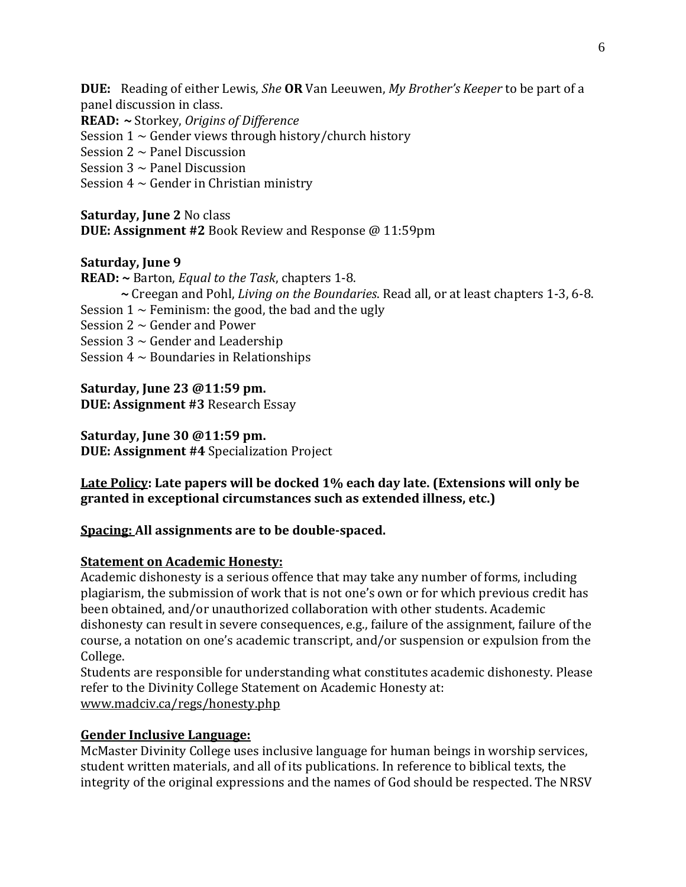**DUE:** Reading of either Lewis, *She* **OR** Van Leeuwen, *My Brother's Keeper* to be part of a panel discussion in class.

**READ: ~** Storkey, *Origins of Difference*

Session  $1 \sim$  Gender views through history/church history

Session  $2 \sim$  Panel Discussion

Session  $3 \sim$  Panel Discussion

Session  $4 \sim$  Gender in Christian ministry

#### **Saturday, June 2** No class

**DUE: Assignment #2** Book Review and Response @ 11:59pm

## **Saturday, June 9**

- **READ: ~** Barton, *Equal to the Task*, chapters 1-8.
	- **~** Creegan and Pohl, *Living on the Boundaries*. Read all, or at least chapters 1-3, 6-8.
- Session  $1 \sim$  Feminism: the good, the bad and the ugly

Session  $2 \sim$  Gender and Power

Session  $3 \sim$  Gender and Leadership

Session  $4 \sim$  Boundaries in Relationships

**Saturday, June 23 @11:59 pm. DUE: Assignment #3** Research Essay

**Saturday, June 30 @11:59 pm. DUE: Assignment #4** Specialization Project

## **Late Policy: Late papers will be docked 1% each day late. (Extensions will only be granted in exceptional circumstances such as extended illness, etc.)**

## **Spacing: All assignments are to be double-spaced.**

#### **Statement on Academic Honesty:**

Academic dishonesty is a serious offence that may take any number of forms, including plagiarism, the submission of work that is not one's own or for which previous credit has been obtained, and/or unauthorized collaboration with other students. Academic dishonesty can result in severe consequences, e.g., failure of the assignment, failure of the course, a notation on one's academic transcript, and/or suspension or expulsion from the College.

Students are responsible for understanding what constitutes academic dishonesty. Please refer to the Divinity College Statement on Academic Honesty at: www.madciv.ca/regs/honesty.php

## **Gender Inclusive Language:**

McMaster Divinity College uses inclusive language for human beings in worship services, student written materials, and all of its publications. In reference to biblical texts, the integrity of the original expressions and the names of God should be respected. The NRSV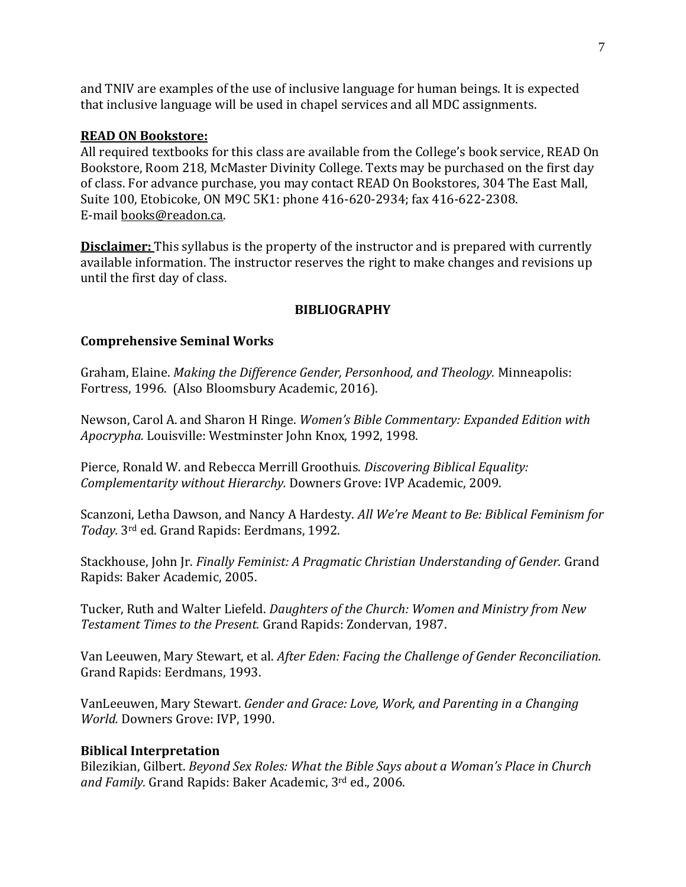and TNIV are examples of the use of inclusive language for human beings. It is expected that inclusive language will be used in chapel services and all MDC assignments.

#### **READ ON Bookstore:**

All required textbooks for this class are available from the College's book service, READ On Bookstore, Room 218, McMaster Divinity College. Texts may be purchased on the first day of class. For advance purchase, you may contact READ On Bookstores, 304 The East Mall, Suite 100, Etobicoke, ON M9C 5K1: phone 416-620-2934; fax 416-622-2308. E-mail books@readon.ca.

**Disclaimer:** This syllabus is the property of the instructor and is prepared with currently available information. The instructor reserves the right to make changes and revisions up until the first day of class.

#### **BIBLIOGRAPHY**

#### **Comprehensive Seminal Works**

Graham, Elaine. *Making the Difference Gender, Personhood, and Theology.* Minneapolis: Fortress, 1996. (Also Bloomsbury Academic, 2016).

Newson, Carol A. and Sharon H Ringe. *Women's Bible Commentary: Expanded Edition with Apocrypha.* Louisville: Westminster John Knox, 1992, 1998.

Pierce, Ronald W. and Rebecca Merrill Groothuis. *Discovering Biblical Equality: Complementarity without Hierarchy.* Downers Grove: IVP Academic, 2009.

Scanzoni, Letha Dawson, and Nancy A Hardesty. *All We're Meant to Be: Biblical Feminism for Today.* 3rd ed. Grand Rapids: Eerdmans, 1992.

Stackhouse, John Jr. *Finally Feminist: A Pragmatic Christian Understanding of Gender.* Grand Rapids: Baker Academic, 2005.

Tucker, Ruth and Walter Liefeld. *Daughters of the Church: Women and Ministry from New Testament Times to the Present.* Grand Rapids: Zondervan, 1987.

Van Leeuwen, Mary Stewart, et al. *After Eden: Facing the Challenge of Gender Reconciliation.* Grand Rapids: Eerdmans, 1993.

VanLeeuwen, Mary Stewart. *Gender and Grace: Love, Work, and Parenting in a Changing World.* Downers Grove: IVP, 1990.

#### **Biblical Interpretation**

Bilezikian, Gilbert. *Beyond Sex Roles: What the Bible Says about a Woman's Place in Church and Family.* Grand Rapids: Baker Academic, 3rd ed., 2006.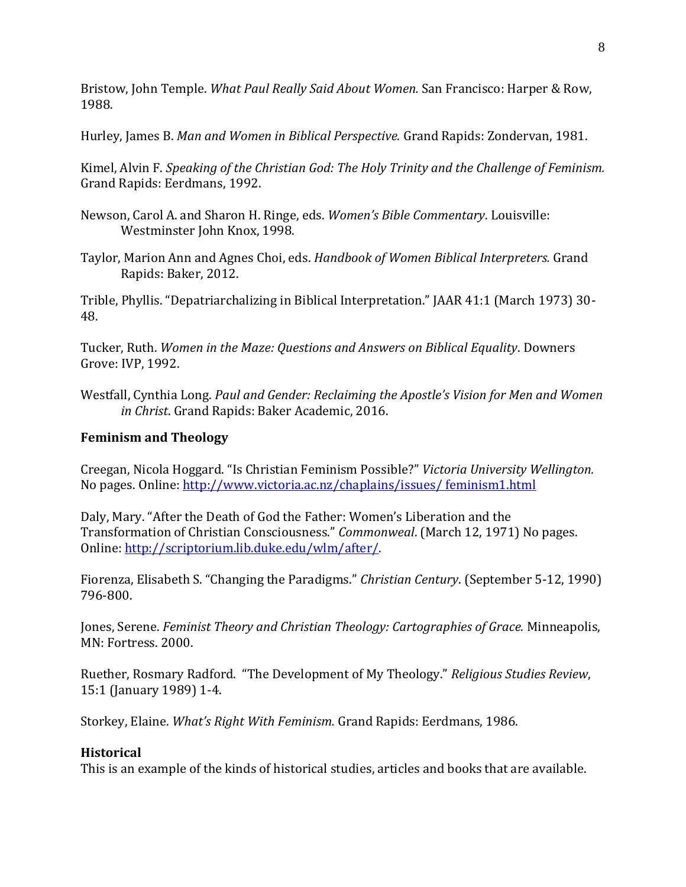Bristow, John Temple. *What Paul Really Said About Women.* San Francisco: Harper & Row, 1988.

Hurley, James B. *Man and Women in Biblical Perspective.* Grand Rapids: Zondervan, 1981.

Kimel, Alvin F. *Speaking of the Christian God: The Holy Trinity and the Challenge of Feminism.* Grand Rapids: Eerdmans, 1992.

- Newson, Carol A. and Sharon H. Ringe, eds. *Women's Bible Commentary*. Louisville: Westminster John Knox, 1998.
- Taylor, Marion Ann and Agnes Choi, eds. *Handbook of Women Biblical Interpreters.* Grand Rapids: Baker, 2012.

Trible, Phyllis. "Depatriarchalizing in Biblical Interpretation." JAAR 41:1 (March 1973) 30- 48.

Tucker, Ruth. *Women in the Maze: Questions and Answers on Biblical Equality*. Downers Grove: IVP, 1992.

Westfall, Cynthia Long. *Paul and Gender: Reclaiming the Apostle's Vision for Men and Women in Christ*. Grand Rapids: Baker Academic, 2016.

## **Feminism and Theology**

Creegan, Nicola Hoggard. "Is Christian Feminism Possible?" *Victoria University Wellington.* No pages. Online: [http://www.victoria.ac.nz/chaplains/issues/ feminism1.html](http://www.victoria.ac.nz/chaplains/issues/%20feminism1.html)

Daly, Mary. "After the Death of God the Father: Women's Liberation and the Transformation of Christian Consciousness." *Commonweal*. (March 12, 1971) No pages. Online: [http://scriptorium.lib.duke.edu/wlm/after/.](http://scriptorium.lib.duke.edu/wlm/after/)

Fiorenza, Elisabeth S. "Changing the Paradigms." *Christian Century*. (September 5-12, 1990) 796-800.

Jones, Serene. *Feminist Theory and Christian Theology: Cartographies of Grace.* Minneapolis, MN: Fortress. 2000.

Ruether, Rosmary Radford. "The Development of My Theology." *Religious Studies Review*, 15:1 (January 1989) 1-4.

Storkey, Elaine. *What's Right With Feminism.* Grand Rapids: Eerdmans, 1986.

## **Historical**

This is an example of the kinds of historical studies, articles and books that are available.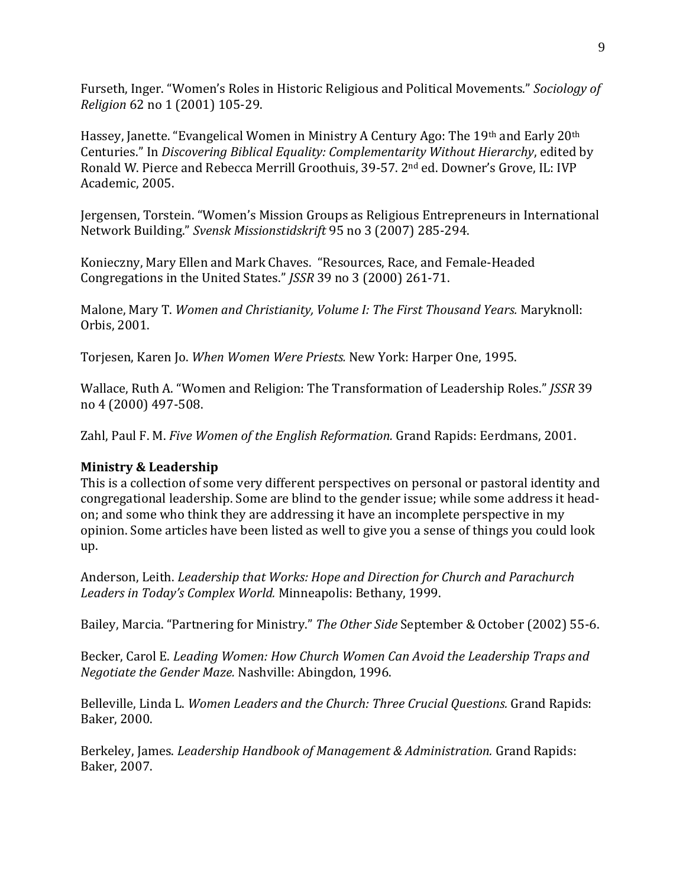Furseth, Inger. "Women's Roles in Historic Religious and Political Movements." *Sociology of Religion* 62 no 1 (2001) 105-29.

Hassey, Janette. "Evangelical Women in Ministry A Century Ago: The 19th and Early 20th Centuries." In *Discovering Biblical Equality: Complementarity Without Hierarchy*, edited by Ronald W. Pierce and Rebecca Merrill Groothuis, 39-57. 2nd ed. Downer's Grove, IL: IVP Academic, 2005.

Jergensen, Torstein. "Women's Mission Groups as Religious Entrepreneurs in International Network Building." *Svensk Missionstidskrift* 95 no 3 (2007) 285-294.

Konieczny, Mary Ellen and Mark Chaves. "Resources, Race, and Female-Headed Congregations in the United States." *JSSR* 39 no 3 (2000) 261-71.

Malone, Mary T. *Women and Christianity, Volume I: The First Thousand Years.* Maryknoll: Orbis, 2001.

Torjesen, Karen Jo. *When Women Were Priests.* New York: Harper One, 1995.

Wallace, Ruth A. "Women and Religion: The Transformation of Leadership Roles." *JSSR* 39 no 4 (2000) 497-508.

Zahl, Paul F. M. *Five Women of the English Reformation.* Grand Rapids: Eerdmans, 2001.

## **Ministry & Leadership**

This is a collection of some very different perspectives on personal or pastoral identity and congregational leadership. Some are blind to the gender issue; while some address it headon; and some who think they are addressing it have an incomplete perspective in my opinion. Some articles have been listed as well to give you a sense of things you could look up.

Anderson, Leith. *Leadership that Works: Hope and Direction for Church and Parachurch Leaders in Today's Complex World.* Minneapolis: Bethany, 1999.

Bailey, Marcia. "Partnering for Ministry." *The Other Side* September & October (2002) 55-6.

Becker, Carol E. *Leading Women: How Church Women Can Avoid the Leadership Traps and Negotiate the Gender Maze.* Nashville: Abingdon, 1996.

Belleville, Linda L. *Women Leaders and the Church: Three Crucial Questions.* Grand Rapids: Baker, 2000.

Berkeley, James. *Leadership Handbook of Management & Administration.* Grand Rapids: Baker, 2007.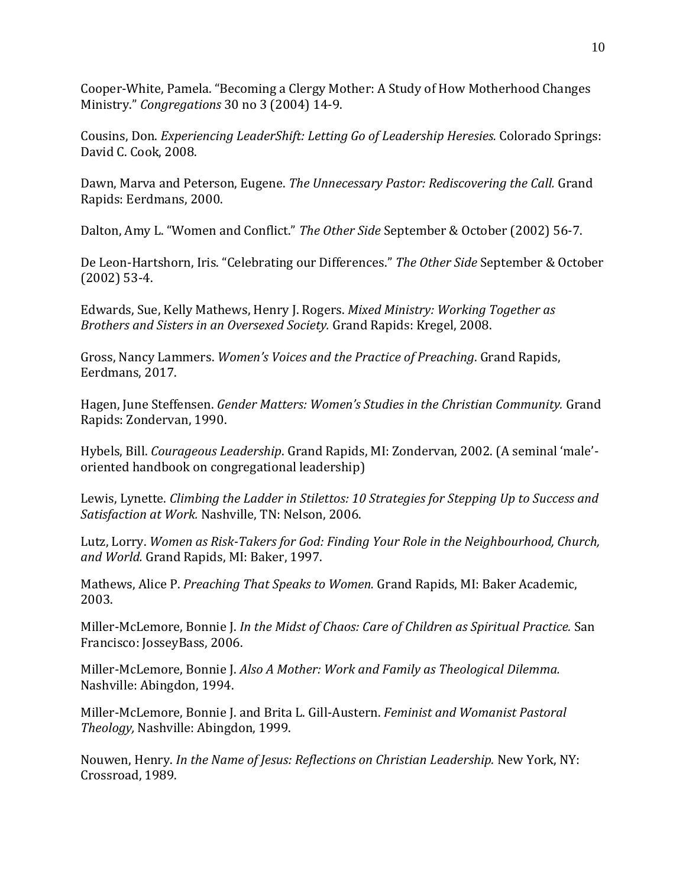Cooper-White, Pamela. "Becoming a Clergy Mother: A Study of How Motherhood Changes Ministry." *Congregations* 30 no 3 (2004) 14-9.

Cousins, Don. *Experiencing LeaderShift: Letting Go of Leadership Heresies.* Colorado Springs: David C. Cook, 2008.

Dawn, Marva and Peterson, Eugene. *The Unnecessary Pastor: Rediscovering the Call.* Grand Rapids: Eerdmans, 2000.

Dalton, Amy L. "Women and Conflict." *The Other Side* September & October (2002) 56-7.

De Leon-Hartshorn, Iris. "Celebrating our Differences." *The Other Side* September & October (2002) 53-4.

Edwards, Sue, Kelly Mathews, Henry J. Rogers. *Mixed Ministry: Working Together as Brothers and Sisters in an Oversexed Society.* Grand Rapids: Kregel, 2008.

Gross, Nancy Lammers. *Women's Voices and the Practice of Preaching*. Grand Rapids, Eerdmans, 2017.

Hagen, June Steffensen. *Gender Matters: Women's Studies in the Christian Community.* Grand Rapids: Zondervan, 1990.

Hybels, Bill. *Courageous Leadership*. Grand Rapids, MI: Zondervan, 2002. (A seminal 'male' oriented handbook on congregational leadership)

Lewis, Lynette. *Climbing the Ladder in Stilettos: 10 Strategies for Stepping Up to Success and Satisfaction at Work.* Nashville, TN: Nelson, 2006.

Lutz, Lorry. *Women as Risk-Takers for God: Finding Your Role in the Neighbourhood, Church, and World.* Grand Rapids, MI: Baker, 1997.

Mathews, Alice P. *Preaching That Speaks to Women.* Grand Rapids, MI: Baker Academic, 2003.

Miller-McLemore, Bonnie J. *In the Midst of Chaos: Care of Children as Spiritual Practice.* San Francisco: JosseyBass, 2006.

Miller-McLemore, Bonnie J. *Also A Mother: Work and Family as Theological Dilemma.* Nashville: Abingdon, 1994.

Miller-McLemore, Bonnie J. and Brita L. Gill-Austern. *Feminist and Womanist Pastoral Theology,* Nashville: Abingdon, 1999.

Nouwen, Henry. *In the Name of Jesus: Reflections on Christian Leadership.* New York, NY: Crossroad, 1989.